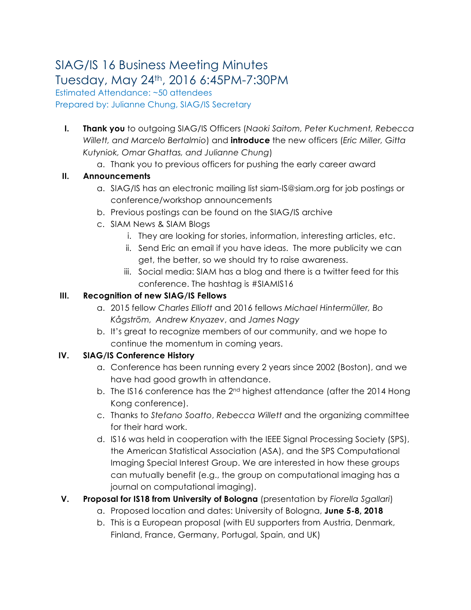# SIAG/IS 16 Business Meeting Minutes Tuesday, May 24th, 2016 6:45PM-7:30PM

Estimated Attendance: ~50 attendees Prepared by: Julianne Chung, SIAG/IS Secretary

- **I. Thank you** to outgoing SIAG/IS Officers (*Naoki Saitom, Peter Kuchment, Rebecca Willett, and Marcelo Bertalmio*) and **introduce** the new officers (*Eric Miller, Gitta Kutyniok, Omar Ghattas, and Julianne Chung*)
	- a. Thank you to previous officers for pushing the early career award

### **II. Announcements**

- a. SIAG/IS has an electronic mailing list siam-IS@siam.org for job postings or conference/workshop announcements
- b. Previous postings can be found on the SIAG/IS archive
- c. SIAM News & SIAM Blogs
	- i. They are looking for stories, information, interesting articles, etc.
	- ii. Send Eric an email if you have ideas. The more publicity we can get, the better, so we should try to raise awareness.
	- iii. Social media: SIAM has a blog and there is a twitter feed for this conference. The hashtag is #SIAMIS16

# **III. Recognition of new SIAG/IS Fellows**

- a. 2015 fellow *Charles Elliott* and 2016 fellows *Michael Hintermüller, Bo Kågström, Andrew Knyazev*, and *James Nagy*
- b. It's great to recognize members of our community, and we hope to continue the momentum in coming years.

# **IV. SIAG/IS Conference History**

- a. Conference has been running every 2 years since 2002 (Boston), and we have had good growth in attendance.
- b. The IS16 conference has the 2<sup>nd</sup> highest attendance (after the 2014 Hong Kong conference).
- c. Thanks to *Stefano Soatto*, *Rebecca Willett* and the organizing committee for their hard work.
- d. IS16 was held in cooperation with the IEEE Signal Processing Society (SPS), the American Statistical Association (ASA), and the SPS Computational Imaging Special Interest Group. We are interested in how these groups can mutually benefit (e.g., the group on computational imaging has a journal on computational imaging).
- **V. Proposal for IS18 from University of Bologna** (presentation by *Fiorella Sgallari*)
	- a. Proposed location and dates: University of Bologna, **June 5-8, 2018**
	- b. This is a European proposal (with EU supporters from Austria, Denmark, Finland, France, Germany, Portugal, Spain, and UK)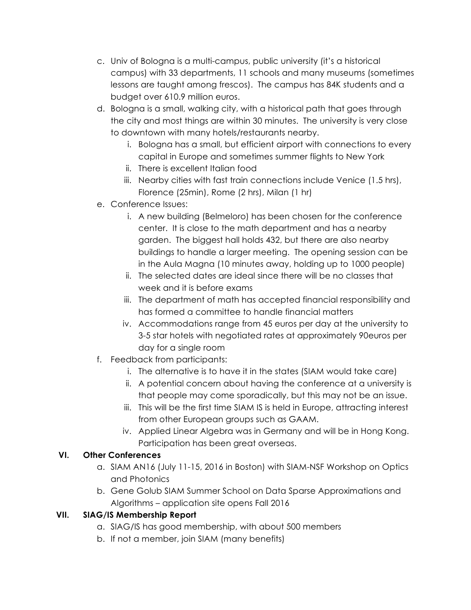- c. Univ of Bologna is a multi-campus, public university (it's a historical campus) with 33 departments, 11 schools and many museums (sometimes lessons are taught among frescos). The campus has 84K students and a budget over 610.9 million euros.
- d. Bologna is a small, walking city, with a historical path that goes through the city and most things are within 30 minutes. The university is very close to downtown with many hotels/restaurants nearby.
	- i. Bologna has a small, but efficient airport with connections to every capital in Europe and sometimes summer flights to New York
	- ii. There is excellent Italian food
	- iii. Nearby cities with fast train connections include Venice (1.5 hrs), Florence (25min), Rome (2 hrs), Milan (1 hr)
- e. Conference Issues:
	- i. A new building (Belmeloro) has been chosen for the conference center. It is close to the math department and has a nearby garden. The biggest hall holds 432, but there are also nearby buildings to handle a larger meeting. The opening session can be in the Aula Magna (10 minutes away, holding up to 1000 people)
	- ii. The selected dates are ideal since there will be no classes that week and it is before exams
	- iii. The department of math has accepted financial responsibility and has formed a committee to handle financial matters
	- iv. Accommodations range from 45 euros per day at the university to 3-5 star hotels with negotiated rates at approximately 90euros per day for a single room
- f. Feedback from participants:
	- i. The alternative is to have it in the states (SIAM would take care)
	- ii. A potential concern about having the conference at a university is that people may come sporadically, but this may not be an issue.
	- iii. This will be the first time SIAM IS is held in Europe, attracting interest from other European groups such as GAAM.
	- iv. Applied Linear Algebra was in Germany and will be in Hong Kong. Participation has been great overseas.

# **VI. Other Conferences**

- a. SIAM AN16 (July 11-15, 2016 in Boston) with SIAM-NSF Workshop on Optics and Photonics
- b. Gene Golub SIAM Summer School on Data Sparse Approximations and Algorithms – application site opens Fall 2016

# **VII. SIAG/IS Membership Report**

- a. SIAG/IS has good membership, with about 500 members
- b. If not a member, join SIAM (many benefits)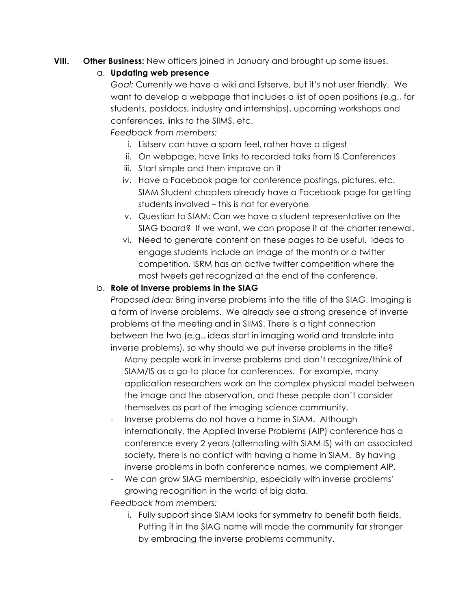**VIII. Other Business:** New officers joined in January and brought up some issues.

#### a. **Updating web presence**

*Goal:* Currently we have a wiki and listserve, but it's not user friendly. We want to develop a webpage that includes a list of open positions (e.g., for students, postdocs, industry and internships), upcoming workshops and conferences, links to the SIIMS, etc.

*Feedback from members:*

- i. Listserv can have a spam feel, rather have a digest
- ii. On webpage, have links to recorded talks from IS Conferences
- iii. Start simple and then improve on it
- iv. Have a Facebook page for conference postings, pictures, etc. SIAM Student chapters already have a Facebook page for getting students involved – this is not for everyone
- v. Question to SIAM: Can we have a student representative on the SIAG board? If we want, we can propose it at the charter renewal.
- vi. Need to generate content on these pages to be useful. Ideas to engage students include an image of the month or a twitter competition. ISRM has an active twitter competition where the most tweets get recognized at the end of the conference.

#### b. **Role of inverse problems in the SIAG**

*Proposed Idea:* Bring inverse problems into the title of the SIAG. Imaging is a form of inverse problems. We already see a strong presence of inverse problems at the meeting and in SIIMS. There is a tight connection between the two (e.g., ideas start in imaging world and translate into inverse problems), so why should we put inverse problems in the title?

- Many people work in inverse problems and don't recognize/think of SIAM/IS as a go-to place for conferences. For example, many application researchers work on the complex physical model between the image and the observation, and these people don't consider themselves as part of the imaging science community.
- Inverse problems do not have a home in SIAM. Although internationally, the Applied Inverse Problems (AIP) conference has a conference every 2 years (alternating with SIAM IS) with an associated society, there is no conflict with having a home in SIAM. By having inverse problems in both conference names, we complement AIP.
- We can grow SIAG membership, especially with inverse problems' growing recognition in the world of big data.

#### *Feedback from members:*

i. Fully support since SIAM looks for symmetry to benefit both fields. Putting it in the SIAG name will made the community far stronger by embracing the inverse problems community.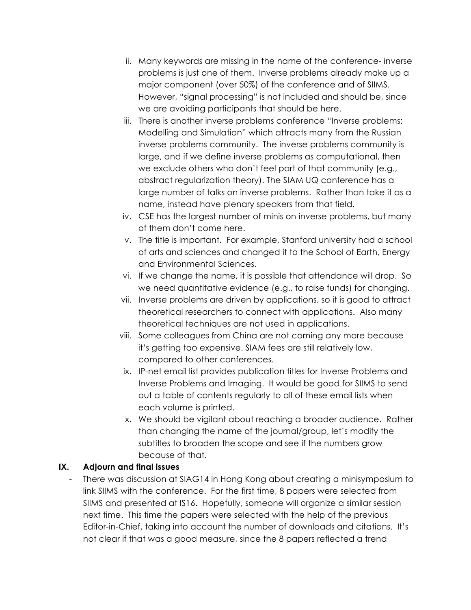- ii. Many keywords are missing in the name of the conference- inverse problems is just one of them. Inverse problems already make up a major component (over 50%) of the conference and of SIIMS. However, "signal processing" is not included and should be, since we are avoiding participants that should be here.
- iii. There is another inverse problems conference "Inverse problems: Modelling and Simulation" which attracts many from the Russian inverse problems community. The inverse problems community is large, and if we define inverse problems as computational, then we exclude others who don't feel part of that community (e.g., abstract regularization theory). The SIAM UQ conference has a large number of talks on inverse problems. Rather than take it as a name, instead have plenary speakers from that field.
- iv. CSE has the largest number of minis on inverse problems, but many of them don't come here.
- v. The title is important. For example, Stanford university had a school of arts and sciences and changed it to the School of Earth, Energy and Environmental Sciences.
- vi. If we change the name, it is possible that attendance will drop. So we need quantitative evidence (e.g., to raise funds) for changing.
- vii. Inverse problems are driven by applications, so it is good to attract theoretical researchers to connect with applications. Also many theoretical techniques are not used in applications.
- viii. Some colleagues from China are not coming any more because it's getting too expensive. SIAM fees are still relatively low, compared to other conferences.
- ix. IP-net email list provides publication titles for Inverse Problems and Inverse Problems and Imaging. It would be good for SIIMS to send out a table of contents regularly to all of these email lists when each volume is printed.
- x. We should be vigilant about reaching a broader audience. Rather than changing the name of the journal/group, let's modify the subtitles to broaden the scope and see if the numbers grow because of that.

#### **IX. Adjourn and final issues**

- There was discussion at SIAG14 in Hong Kong about creating a minisymposium to link SIIMS with the conference. For the first time, 8 papers were selected from SIIMS and presented at IS16. Hopefully, someone will organize a similar session next time. This time the papers were selected with the help of the previous Editor-in-Chief, taking into account the number of downloads and citations. It's not clear if that was a good measure, since the 8 papers reflected a trend